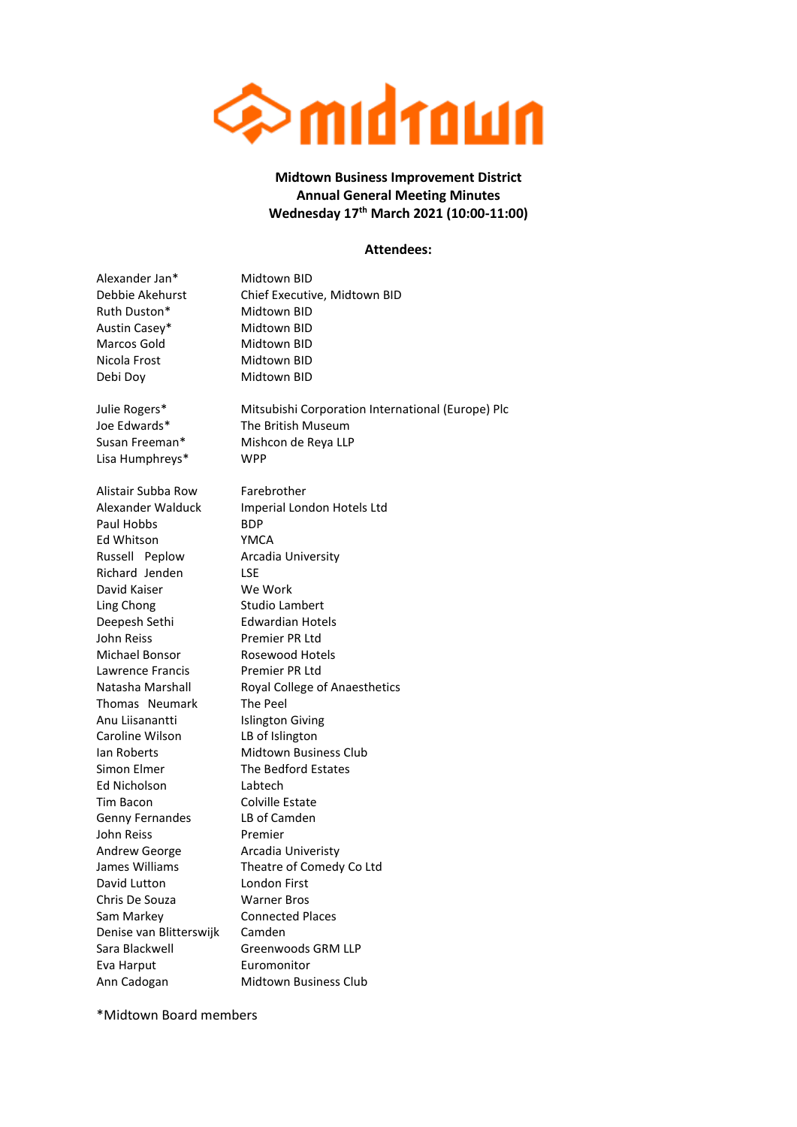

**Midtown Business Improvement District Annual General Meeting Minutes Wednesday 17th March 2021 (10:00-11:00)**

## **Attendees:**

| Alexander Jan*          | Midtown BID                                       |
|-------------------------|---------------------------------------------------|
| Debbie Akehurst         | Chief Executive, Midtown BID                      |
| Ruth Duston*            | Midtown BID                                       |
| Austin Casey*           | Midtown BID                                       |
| Marcos Gold             | Midtown BID                                       |
| Nicola Frost            | Midtown BID                                       |
| Debi Doy                | Midtown BID                                       |
| Julie Rogers*           | Mitsubishi Corporation International (Europe) Plc |
| Joe Edwards*            | The British Museum                                |
| Susan Freeman*          | Mishcon de Reya LLP                               |
| Lisa Humphreys*         | <b>WPP</b>                                        |
| Alistair Subba Row      | Farebrother                                       |
| Alexander Walduck       | Imperial London Hotels Ltd                        |
| Paul Hobbs              | <b>BDP</b>                                        |
| Ed Whitson              | YMCA                                              |
| Russell Peplow          | Arcadia University                                |
| Richard Jenden          | LSE                                               |
| David Kaiser            | We Work                                           |
| Ling Chong              | Studio Lambert                                    |
| Deepesh Sethi           | Edwardian Hotels                                  |
| John Reiss              | Premier PR Ltd                                    |
| Michael Bonsor          | Rosewood Hotels                                   |
| Lawrence Francis        | Premier PR Ltd                                    |
| Natasha Marshall        | Royal College of Anaesthetics                     |
| Thomas Neumark          | The Peel                                          |
| Anu Liisanantti         | <b>Islington Giving</b>                           |
| Caroline Wilson         | LB of Islington                                   |
| lan Roberts             | <b>Midtown Business Club</b>                      |
| Simon Elmer             | The Bedford Estates                               |
| Ed Nicholson            | Labtech                                           |
| Tim Bacon               | Colville Estate                                   |
| Genny Fernandes         | LB of Camden                                      |
| John Reiss              | Premier                                           |
| <b>Andrew George</b>    | Arcadia Univeristy                                |
| James Williams          | Theatre of Comedy Co Ltd                          |
| David Lutton            | London First                                      |
| Chris De Souza          | <b>Warner Bros</b>                                |
| Sam Markey              | <b>Connected Places</b>                           |
| Denise van Blitterswijk | Camden                                            |
| Sara Blackwell          | Greenwoods GRM LLP                                |
| Eva Harput              | Euromonitor                                       |
| Ann Cadogan             | Midtown Business Club                             |
|                         |                                                   |

\*Midtown Board members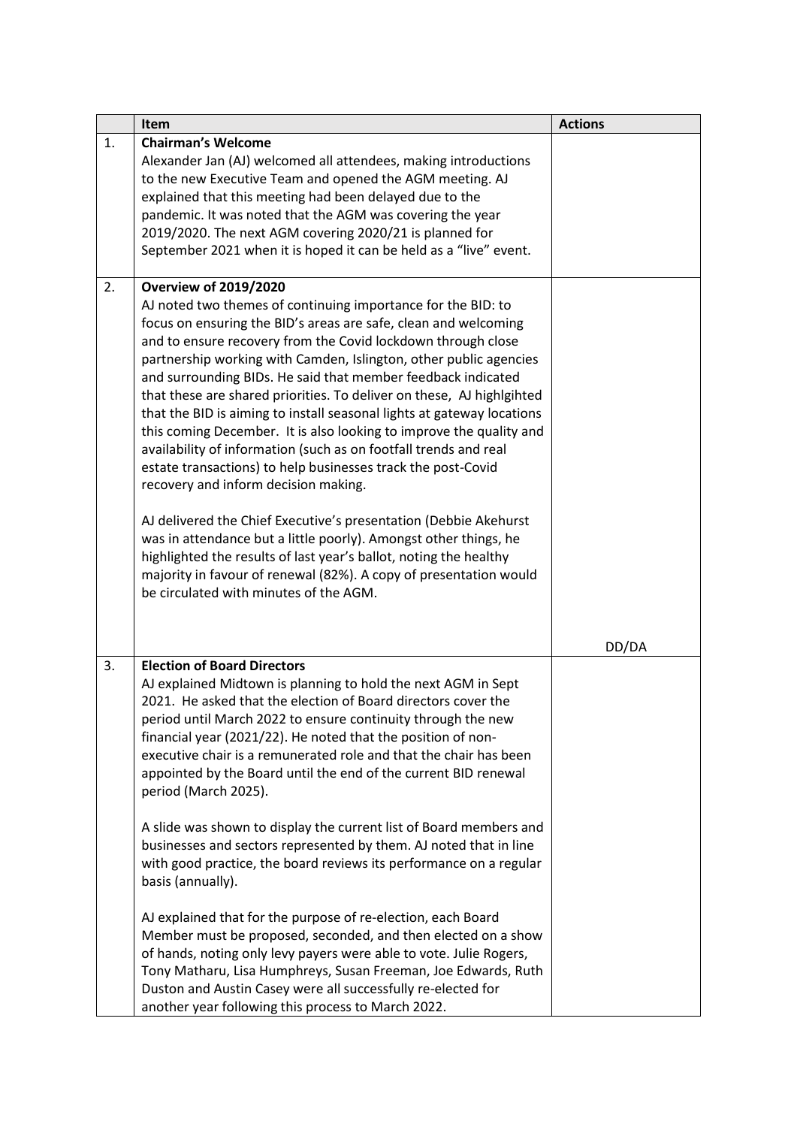|    | Item                                                                                                                                            | <b>Actions</b> |
|----|-------------------------------------------------------------------------------------------------------------------------------------------------|----------------|
| 1. | <b>Chairman's Welcome</b>                                                                                                                       |                |
|    | Alexander Jan (AJ) welcomed all attendees, making introductions                                                                                 |                |
|    | to the new Executive Team and opened the AGM meeting. AJ                                                                                        |                |
|    | explained that this meeting had been delayed due to the                                                                                         |                |
|    | pandemic. It was noted that the AGM was covering the year                                                                                       |                |
|    | 2019/2020. The next AGM covering 2020/21 is planned for                                                                                         |                |
|    | September 2021 when it is hoped it can be held as a "live" event.                                                                               |                |
|    |                                                                                                                                                 |                |
| 2. | <b>Overview of 2019/2020</b>                                                                                                                    |                |
|    | AJ noted two themes of continuing importance for the BID: to                                                                                    |                |
|    | focus on ensuring the BID's areas are safe, clean and welcoming                                                                                 |                |
|    | and to ensure recovery from the Covid lockdown through close                                                                                    |                |
|    | partnership working with Camden, Islington, other public agencies                                                                               |                |
|    | and surrounding BIDs. He said that member feedback indicated                                                                                    |                |
|    | that these are shared priorities. To deliver on these, AJ highlgihted<br>that the BID is aiming to install seasonal lights at gateway locations |                |
|    | this coming December. It is also looking to improve the quality and                                                                             |                |
|    | availability of information (such as on footfall trends and real                                                                                |                |
|    | estate transactions) to help businesses track the post-Covid                                                                                    |                |
|    | recovery and inform decision making.                                                                                                            |                |
|    |                                                                                                                                                 |                |
|    | AJ delivered the Chief Executive's presentation (Debbie Akehurst                                                                                |                |
|    | was in attendance but a little poorly). Amongst other things, he                                                                                |                |
|    | highlighted the results of last year's ballot, noting the healthy                                                                               |                |
|    | majority in favour of renewal (82%). A copy of presentation would                                                                               |                |
|    | be circulated with minutes of the AGM.                                                                                                          |                |
|    |                                                                                                                                                 |                |
|    |                                                                                                                                                 |                |
|    |                                                                                                                                                 | DD/DA          |
| 3. | <b>Election of Board Directors</b>                                                                                                              |                |
|    | AJ explained Midtown is planning to hold the next AGM in Sept                                                                                   |                |
|    | 2021. He asked that the election of Board directors cover the                                                                                   |                |
|    | period until March 2022 to ensure continuity through the new                                                                                    |                |
|    | financial year (2021/22). He noted that the position of non-                                                                                    |                |
|    | executive chair is a remunerated role and that the chair has been                                                                               |                |
|    | appointed by the Board until the end of the current BID renewal                                                                                 |                |
|    | period (March 2025).                                                                                                                            |                |
|    | A slide was shown to display the current list of Board members and                                                                              |                |
|    | businesses and sectors represented by them. AJ noted that in line                                                                               |                |
|    | with good practice, the board reviews its performance on a regular                                                                              |                |
|    | basis (annually).                                                                                                                               |                |
|    |                                                                                                                                                 |                |
|    | AJ explained that for the purpose of re-election, each Board                                                                                    |                |
|    | Member must be proposed, seconded, and then elected on a show                                                                                   |                |
|    | of hands, noting only levy payers were able to vote. Julie Rogers,                                                                              |                |
|    | Tony Matharu, Lisa Humphreys, Susan Freeman, Joe Edwards, Ruth                                                                                  |                |
|    | Duston and Austin Casey were all successfully re-elected for                                                                                    |                |
|    | another year following this process to March 2022.                                                                                              |                |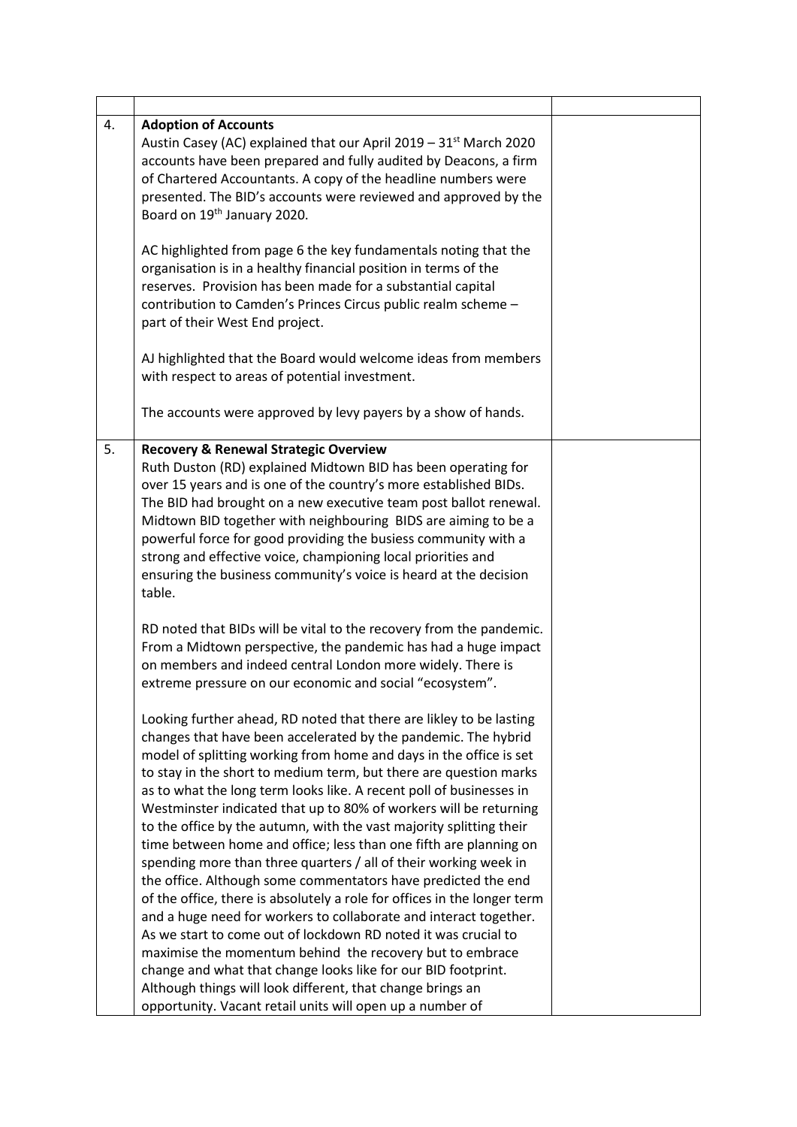| 4. | <b>Adoption of Accounts</b><br>Austin Casey (AC) explained that our April 2019 - 31 <sup>st</sup> March 2020<br>accounts have been prepared and fully audited by Deacons, a firm<br>of Chartered Accountants. A copy of the headline numbers were<br>presented. The BID's accounts were reviewed and approved by the<br>Board on 19 <sup>th</sup> January 2020.                                                                                                                                                                                                                                                                                                                                                                                                                                                                                                                                                                                                                                                                                                                                                                                                                          |  |
|----|------------------------------------------------------------------------------------------------------------------------------------------------------------------------------------------------------------------------------------------------------------------------------------------------------------------------------------------------------------------------------------------------------------------------------------------------------------------------------------------------------------------------------------------------------------------------------------------------------------------------------------------------------------------------------------------------------------------------------------------------------------------------------------------------------------------------------------------------------------------------------------------------------------------------------------------------------------------------------------------------------------------------------------------------------------------------------------------------------------------------------------------------------------------------------------------|--|
|    | AC highlighted from page 6 the key fundamentals noting that the<br>organisation is in a healthy financial position in terms of the<br>reserves. Provision has been made for a substantial capital<br>contribution to Camden's Princes Circus public realm scheme -<br>part of their West End project.                                                                                                                                                                                                                                                                                                                                                                                                                                                                                                                                                                                                                                                                                                                                                                                                                                                                                    |  |
|    | AJ highlighted that the Board would welcome ideas from members<br>with respect to areas of potential investment.                                                                                                                                                                                                                                                                                                                                                                                                                                                                                                                                                                                                                                                                                                                                                                                                                                                                                                                                                                                                                                                                         |  |
|    | The accounts were approved by levy payers by a show of hands.                                                                                                                                                                                                                                                                                                                                                                                                                                                                                                                                                                                                                                                                                                                                                                                                                                                                                                                                                                                                                                                                                                                            |  |
| 5. | <b>Recovery &amp; Renewal Strategic Overview</b><br>Ruth Duston (RD) explained Midtown BID has been operating for<br>over 15 years and is one of the country's more established BIDs.<br>The BID had brought on a new executive team post ballot renewal.<br>Midtown BID together with neighbouring BIDS are aiming to be a<br>powerful force for good providing the busiess community with a<br>strong and effective voice, championing local priorities and<br>ensuring the business community's voice is heard at the decision<br>table.                                                                                                                                                                                                                                                                                                                                                                                                                                                                                                                                                                                                                                              |  |
|    | RD noted that BIDs will be vital to the recovery from the pandemic.<br>From a Midtown perspective, the pandemic has had a huge impact<br>on members and indeed central London more widely. There is<br>extreme pressure on our economic and social "ecosystem".                                                                                                                                                                                                                                                                                                                                                                                                                                                                                                                                                                                                                                                                                                                                                                                                                                                                                                                          |  |
|    | Looking further ahead, RD noted that there are likley to be lasting<br>changes that have been accelerated by the pandemic. The hybrid<br>model of splitting working from home and days in the office is set<br>to stay in the short to medium term, but there are question marks<br>as to what the long term looks like. A recent poll of businesses in<br>Westminster indicated that up to 80% of workers will be returning<br>to the office by the autumn, with the vast majority splitting their<br>time between home and office; less than one fifth are planning on<br>spending more than three quarters / all of their working week in<br>the office. Although some commentators have predicted the end<br>of the office, there is absolutely a role for offices in the longer term<br>and a huge need for workers to collaborate and interact together.<br>As we start to come out of lockdown RD noted it was crucial to<br>maximise the momentum behind the recovery but to embrace<br>change and what that change looks like for our BID footprint.<br>Although things will look different, that change brings an<br>opportunity. Vacant retail units will open up a number of |  |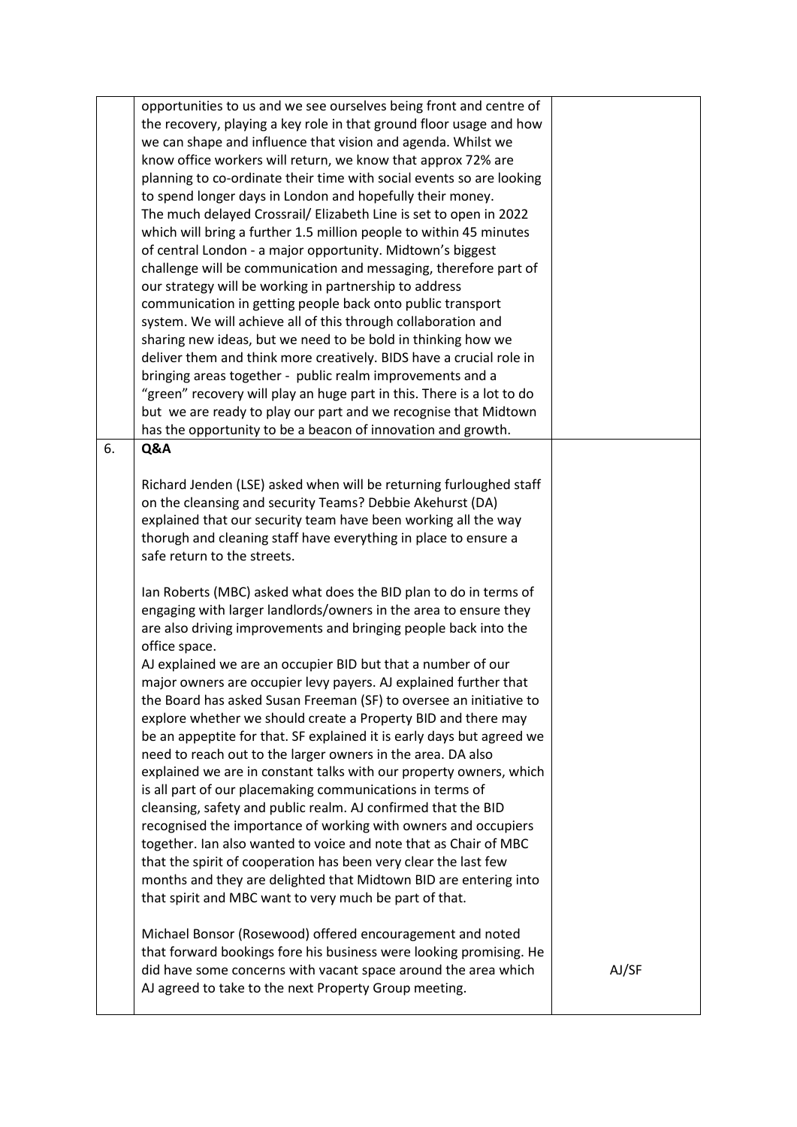| to spend longer days in London and hopefully their money.             |                                                                                                                                                                                                                                                                                                                                                                                                                                                                                                                                                                                                                                                                                                                                                                                                                                                                                                                                                                                                                                                                                                                                                                                                                                                                                                                                                                                                                                                                                                                                                                                                                                                                                                                                                                                                                                                                                                                                                                                       |
|-----------------------------------------------------------------------|---------------------------------------------------------------------------------------------------------------------------------------------------------------------------------------------------------------------------------------------------------------------------------------------------------------------------------------------------------------------------------------------------------------------------------------------------------------------------------------------------------------------------------------------------------------------------------------------------------------------------------------------------------------------------------------------------------------------------------------------------------------------------------------------------------------------------------------------------------------------------------------------------------------------------------------------------------------------------------------------------------------------------------------------------------------------------------------------------------------------------------------------------------------------------------------------------------------------------------------------------------------------------------------------------------------------------------------------------------------------------------------------------------------------------------------------------------------------------------------------------------------------------------------------------------------------------------------------------------------------------------------------------------------------------------------------------------------------------------------------------------------------------------------------------------------------------------------------------------------------------------------------------------------------------------------------------------------------------------------|
| The much delayed Crossrail/ Elizabeth Line is set to open in 2022     |                                                                                                                                                                                                                                                                                                                                                                                                                                                                                                                                                                                                                                                                                                                                                                                                                                                                                                                                                                                                                                                                                                                                                                                                                                                                                                                                                                                                                                                                                                                                                                                                                                                                                                                                                                                                                                                                                                                                                                                       |
| which will bring a further 1.5 million people to within 45 minutes    |                                                                                                                                                                                                                                                                                                                                                                                                                                                                                                                                                                                                                                                                                                                                                                                                                                                                                                                                                                                                                                                                                                                                                                                                                                                                                                                                                                                                                                                                                                                                                                                                                                                                                                                                                                                                                                                                                                                                                                                       |
| of central London - a major opportunity. Midtown's biggest            |                                                                                                                                                                                                                                                                                                                                                                                                                                                                                                                                                                                                                                                                                                                                                                                                                                                                                                                                                                                                                                                                                                                                                                                                                                                                                                                                                                                                                                                                                                                                                                                                                                                                                                                                                                                                                                                                                                                                                                                       |
| challenge will be communication and messaging, therefore part of      |                                                                                                                                                                                                                                                                                                                                                                                                                                                                                                                                                                                                                                                                                                                                                                                                                                                                                                                                                                                                                                                                                                                                                                                                                                                                                                                                                                                                                                                                                                                                                                                                                                                                                                                                                                                                                                                                                                                                                                                       |
| our strategy will be working in partnership to address                |                                                                                                                                                                                                                                                                                                                                                                                                                                                                                                                                                                                                                                                                                                                                                                                                                                                                                                                                                                                                                                                                                                                                                                                                                                                                                                                                                                                                                                                                                                                                                                                                                                                                                                                                                                                                                                                                                                                                                                                       |
| communication in getting people back onto public transport            |                                                                                                                                                                                                                                                                                                                                                                                                                                                                                                                                                                                                                                                                                                                                                                                                                                                                                                                                                                                                                                                                                                                                                                                                                                                                                                                                                                                                                                                                                                                                                                                                                                                                                                                                                                                                                                                                                                                                                                                       |
| system. We will achieve all of this through collaboration and         |                                                                                                                                                                                                                                                                                                                                                                                                                                                                                                                                                                                                                                                                                                                                                                                                                                                                                                                                                                                                                                                                                                                                                                                                                                                                                                                                                                                                                                                                                                                                                                                                                                                                                                                                                                                                                                                                                                                                                                                       |
| sharing new ideas, but we need to be bold in thinking how we          |                                                                                                                                                                                                                                                                                                                                                                                                                                                                                                                                                                                                                                                                                                                                                                                                                                                                                                                                                                                                                                                                                                                                                                                                                                                                                                                                                                                                                                                                                                                                                                                                                                                                                                                                                                                                                                                                                                                                                                                       |
| deliver them and think more creatively. BIDS have a crucial role in   |                                                                                                                                                                                                                                                                                                                                                                                                                                                                                                                                                                                                                                                                                                                                                                                                                                                                                                                                                                                                                                                                                                                                                                                                                                                                                                                                                                                                                                                                                                                                                                                                                                                                                                                                                                                                                                                                                                                                                                                       |
| bringing areas together - public realm improvements and a             |                                                                                                                                                                                                                                                                                                                                                                                                                                                                                                                                                                                                                                                                                                                                                                                                                                                                                                                                                                                                                                                                                                                                                                                                                                                                                                                                                                                                                                                                                                                                                                                                                                                                                                                                                                                                                                                                                                                                                                                       |
| "green" recovery will play an huge part in this. There is a lot to do |                                                                                                                                                                                                                                                                                                                                                                                                                                                                                                                                                                                                                                                                                                                                                                                                                                                                                                                                                                                                                                                                                                                                                                                                                                                                                                                                                                                                                                                                                                                                                                                                                                                                                                                                                                                                                                                                                                                                                                                       |
| but we are ready to play our part and we recognise that Midtown       |                                                                                                                                                                                                                                                                                                                                                                                                                                                                                                                                                                                                                                                                                                                                                                                                                                                                                                                                                                                                                                                                                                                                                                                                                                                                                                                                                                                                                                                                                                                                                                                                                                                                                                                                                                                                                                                                                                                                                                                       |
| has the opportunity to be a beacon of innovation and growth.          |                                                                                                                                                                                                                                                                                                                                                                                                                                                                                                                                                                                                                                                                                                                                                                                                                                                                                                                                                                                                                                                                                                                                                                                                                                                                                                                                                                                                                                                                                                                                                                                                                                                                                                                                                                                                                                                                                                                                                                                       |
| Q&A                                                                   |                                                                                                                                                                                                                                                                                                                                                                                                                                                                                                                                                                                                                                                                                                                                                                                                                                                                                                                                                                                                                                                                                                                                                                                                                                                                                                                                                                                                                                                                                                                                                                                                                                                                                                                                                                                                                                                                                                                                                                                       |
|                                                                       |                                                                                                                                                                                                                                                                                                                                                                                                                                                                                                                                                                                                                                                                                                                                                                                                                                                                                                                                                                                                                                                                                                                                                                                                                                                                                                                                                                                                                                                                                                                                                                                                                                                                                                                                                                                                                                                                                                                                                                                       |
|                                                                       |                                                                                                                                                                                                                                                                                                                                                                                                                                                                                                                                                                                                                                                                                                                                                                                                                                                                                                                                                                                                                                                                                                                                                                                                                                                                                                                                                                                                                                                                                                                                                                                                                                                                                                                                                                                                                                                                                                                                                                                       |
|                                                                       |                                                                                                                                                                                                                                                                                                                                                                                                                                                                                                                                                                                                                                                                                                                                                                                                                                                                                                                                                                                                                                                                                                                                                                                                                                                                                                                                                                                                                                                                                                                                                                                                                                                                                                                                                                                                                                                                                                                                                                                       |
|                                                                       |                                                                                                                                                                                                                                                                                                                                                                                                                                                                                                                                                                                                                                                                                                                                                                                                                                                                                                                                                                                                                                                                                                                                                                                                                                                                                                                                                                                                                                                                                                                                                                                                                                                                                                                                                                                                                                                                                                                                                                                       |
|                                                                       |                                                                                                                                                                                                                                                                                                                                                                                                                                                                                                                                                                                                                                                                                                                                                                                                                                                                                                                                                                                                                                                                                                                                                                                                                                                                                                                                                                                                                                                                                                                                                                                                                                                                                                                                                                                                                                                                                                                                                                                       |
|                                                                       |                                                                                                                                                                                                                                                                                                                                                                                                                                                                                                                                                                                                                                                                                                                                                                                                                                                                                                                                                                                                                                                                                                                                                                                                                                                                                                                                                                                                                                                                                                                                                                                                                                                                                                                                                                                                                                                                                                                                                                                       |
|                                                                       |                                                                                                                                                                                                                                                                                                                                                                                                                                                                                                                                                                                                                                                                                                                                                                                                                                                                                                                                                                                                                                                                                                                                                                                                                                                                                                                                                                                                                                                                                                                                                                                                                                                                                                                                                                                                                                                                                                                                                                                       |
|                                                                       |                                                                                                                                                                                                                                                                                                                                                                                                                                                                                                                                                                                                                                                                                                                                                                                                                                                                                                                                                                                                                                                                                                                                                                                                                                                                                                                                                                                                                                                                                                                                                                                                                                                                                                                                                                                                                                                                                                                                                                                       |
|                                                                       |                                                                                                                                                                                                                                                                                                                                                                                                                                                                                                                                                                                                                                                                                                                                                                                                                                                                                                                                                                                                                                                                                                                                                                                                                                                                                                                                                                                                                                                                                                                                                                                                                                                                                                                                                                                                                                                                                                                                                                                       |
|                                                                       |                                                                                                                                                                                                                                                                                                                                                                                                                                                                                                                                                                                                                                                                                                                                                                                                                                                                                                                                                                                                                                                                                                                                                                                                                                                                                                                                                                                                                                                                                                                                                                                                                                                                                                                                                                                                                                                                                                                                                                                       |
|                                                                       |                                                                                                                                                                                                                                                                                                                                                                                                                                                                                                                                                                                                                                                                                                                                                                                                                                                                                                                                                                                                                                                                                                                                                                                                                                                                                                                                                                                                                                                                                                                                                                                                                                                                                                                                                                                                                                                                                                                                                                                       |
|                                                                       |                                                                                                                                                                                                                                                                                                                                                                                                                                                                                                                                                                                                                                                                                                                                                                                                                                                                                                                                                                                                                                                                                                                                                                                                                                                                                                                                                                                                                                                                                                                                                                                                                                                                                                                                                                                                                                                                                                                                                                                       |
|                                                                       |                                                                                                                                                                                                                                                                                                                                                                                                                                                                                                                                                                                                                                                                                                                                                                                                                                                                                                                                                                                                                                                                                                                                                                                                                                                                                                                                                                                                                                                                                                                                                                                                                                                                                                                                                                                                                                                                                                                                                                                       |
|                                                                       |                                                                                                                                                                                                                                                                                                                                                                                                                                                                                                                                                                                                                                                                                                                                                                                                                                                                                                                                                                                                                                                                                                                                                                                                                                                                                                                                                                                                                                                                                                                                                                                                                                                                                                                                                                                                                                                                                                                                                                                       |
|                                                                       |                                                                                                                                                                                                                                                                                                                                                                                                                                                                                                                                                                                                                                                                                                                                                                                                                                                                                                                                                                                                                                                                                                                                                                                                                                                                                                                                                                                                                                                                                                                                                                                                                                                                                                                                                                                                                                                                                                                                                                                       |
|                                                                       |                                                                                                                                                                                                                                                                                                                                                                                                                                                                                                                                                                                                                                                                                                                                                                                                                                                                                                                                                                                                                                                                                                                                                                                                                                                                                                                                                                                                                                                                                                                                                                                                                                                                                                                                                                                                                                                                                                                                                                                       |
|                                                                       |                                                                                                                                                                                                                                                                                                                                                                                                                                                                                                                                                                                                                                                                                                                                                                                                                                                                                                                                                                                                                                                                                                                                                                                                                                                                                                                                                                                                                                                                                                                                                                                                                                                                                                                                                                                                                                                                                                                                                                                       |
|                                                                       |                                                                                                                                                                                                                                                                                                                                                                                                                                                                                                                                                                                                                                                                                                                                                                                                                                                                                                                                                                                                                                                                                                                                                                                                                                                                                                                                                                                                                                                                                                                                                                                                                                                                                                                                                                                                                                                                                                                                                                                       |
|                                                                       |                                                                                                                                                                                                                                                                                                                                                                                                                                                                                                                                                                                                                                                                                                                                                                                                                                                                                                                                                                                                                                                                                                                                                                                                                                                                                                                                                                                                                                                                                                                                                                                                                                                                                                                                                                                                                                                                                                                                                                                       |
|                                                                       |                                                                                                                                                                                                                                                                                                                                                                                                                                                                                                                                                                                                                                                                                                                                                                                                                                                                                                                                                                                                                                                                                                                                                                                                                                                                                                                                                                                                                                                                                                                                                                                                                                                                                                                                                                                                                                                                                                                                                                                       |
|                                                                       |                                                                                                                                                                                                                                                                                                                                                                                                                                                                                                                                                                                                                                                                                                                                                                                                                                                                                                                                                                                                                                                                                                                                                                                                                                                                                                                                                                                                                                                                                                                                                                                                                                                                                                                                                                                                                                                                                                                                                                                       |
|                                                                       |                                                                                                                                                                                                                                                                                                                                                                                                                                                                                                                                                                                                                                                                                                                                                                                                                                                                                                                                                                                                                                                                                                                                                                                                                                                                                                                                                                                                                                                                                                                                                                                                                                                                                                                                                                                                                                                                                                                                                                                       |
|                                                                       |                                                                                                                                                                                                                                                                                                                                                                                                                                                                                                                                                                                                                                                                                                                                                                                                                                                                                                                                                                                                                                                                                                                                                                                                                                                                                                                                                                                                                                                                                                                                                                                                                                                                                                                                                                                                                                                                                                                                                                                       |
|                                                                       |                                                                                                                                                                                                                                                                                                                                                                                                                                                                                                                                                                                                                                                                                                                                                                                                                                                                                                                                                                                                                                                                                                                                                                                                                                                                                                                                                                                                                                                                                                                                                                                                                                                                                                                                                                                                                                                                                                                                                                                       |
|                                                                       |                                                                                                                                                                                                                                                                                                                                                                                                                                                                                                                                                                                                                                                                                                                                                                                                                                                                                                                                                                                                                                                                                                                                                                                                                                                                                                                                                                                                                                                                                                                                                                                                                                                                                                                                                                                                                                                                                                                                                                                       |
|                                                                       |                                                                                                                                                                                                                                                                                                                                                                                                                                                                                                                                                                                                                                                                                                                                                                                                                                                                                                                                                                                                                                                                                                                                                                                                                                                                                                                                                                                                                                                                                                                                                                                                                                                                                                                                                                                                                                                                                                                                                                                       |
|                                                                       |                                                                                                                                                                                                                                                                                                                                                                                                                                                                                                                                                                                                                                                                                                                                                                                                                                                                                                                                                                                                                                                                                                                                                                                                                                                                                                                                                                                                                                                                                                                                                                                                                                                                                                                                                                                                                                                                                                                                                                                       |
| did have some concerns with vacant space around the area which        | AJ/SF                                                                                                                                                                                                                                                                                                                                                                                                                                                                                                                                                                                                                                                                                                                                                                                                                                                                                                                                                                                                                                                                                                                                                                                                                                                                                                                                                                                                                                                                                                                                                                                                                                                                                                                                                                                                                                                                                                                                                                                 |
|                                                                       |                                                                                                                                                                                                                                                                                                                                                                                                                                                                                                                                                                                                                                                                                                                                                                                                                                                                                                                                                                                                                                                                                                                                                                                                                                                                                                                                                                                                                                                                                                                                                                                                                                                                                                                                                                                                                                                                                                                                                                                       |
| AJ agreed to take to the next Property Group meeting.                 |                                                                                                                                                                                                                                                                                                                                                                                                                                                                                                                                                                                                                                                                                                                                                                                                                                                                                                                                                                                                                                                                                                                                                                                                                                                                                                                                                                                                                                                                                                                                                                                                                                                                                                                                                                                                                                                                                                                                                                                       |
| 6.                                                                    | opportunities to us and we see ourselves being front and centre of<br>the recovery, playing a key role in that ground floor usage and how<br>we can shape and influence that vision and agenda. Whilst we<br>know office workers will return, we know that approx 72% are<br>planning to co-ordinate their time with social events so are looking<br>Richard Jenden (LSE) asked when will be returning furloughed staff<br>on the cleansing and security Teams? Debbie Akehurst (DA)<br>explained that our security team have been working all the way<br>thorugh and cleaning staff have everything in place to ensure a<br>safe return to the streets.<br>Ian Roberts (MBC) asked what does the BID plan to do in terms of<br>engaging with larger landlords/owners in the area to ensure they<br>are also driving improvements and bringing people back into the<br>office space.<br>AJ explained we are an occupier BID but that a number of our<br>major owners are occupier levy payers. AJ explained further that<br>the Board has asked Susan Freeman (SF) to oversee an initiative to<br>explore whether we should create a Property BID and there may<br>be an appeptite for that. SF explained it is early days but agreed we<br>need to reach out to the larger owners in the area. DA also<br>explained we are in constant talks with our property owners, which<br>is all part of our placemaking communications in terms of<br>cleansing, safety and public realm. AJ confirmed that the BID<br>recognised the importance of working with owners and occupiers<br>together. Ian also wanted to voice and note that as Chair of MBC<br>that the spirit of cooperation has been very clear the last few<br>months and they are delighted that Midtown BID are entering into<br>that spirit and MBC want to very much be part of that.<br>Michael Bonsor (Rosewood) offered encouragement and noted<br>that forward bookings fore his business were looking promising. He |